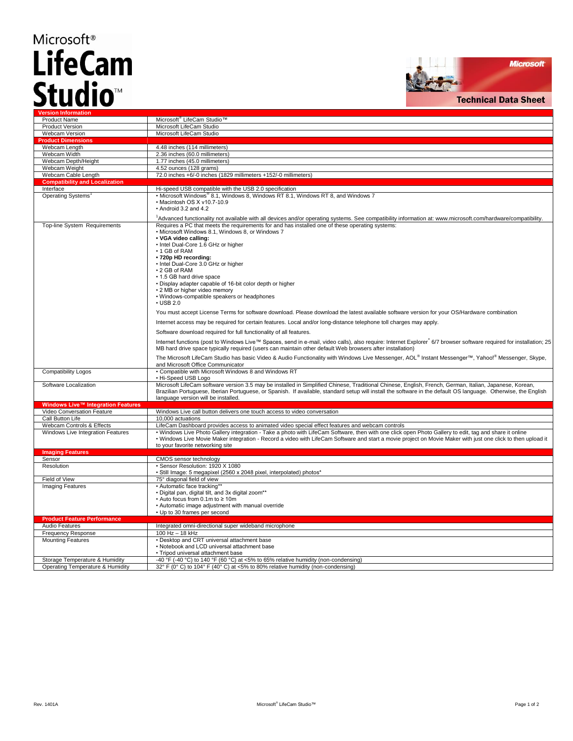## Microsoft<sup>®</sup> **LifeCam** Studio<sup>™</sup>



| <b>Version Information</b>                                    |                                                                                                                                                                                                                                                                                                                                                                                                                                                                                                                                                                                                                                                                                                                                                                                                                                                                                                                                                                                                                                                                                                                                                                                                                                                                                                       |  |  |
|---------------------------------------------------------------|-------------------------------------------------------------------------------------------------------------------------------------------------------------------------------------------------------------------------------------------------------------------------------------------------------------------------------------------------------------------------------------------------------------------------------------------------------------------------------------------------------------------------------------------------------------------------------------------------------------------------------------------------------------------------------------------------------------------------------------------------------------------------------------------------------------------------------------------------------------------------------------------------------------------------------------------------------------------------------------------------------------------------------------------------------------------------------------------------------------------------------------------------------------------------------------------------------------------------------------------------------------------------------------------------------|--|--|
| <b>Product Name</b>                                           | Microsoft <sup>®</sup> LifeCam Studio™                                                                                                                                                                                                                                                                                                                                                                                                                                                                                                                                                                                                                                                                                                                                                                                                                                                                                                                                                                                                                                                                                                                                                                                                                                                                |  |  |
| <b>Product Version</b>                                        | Microsoft LifeCam Studio                                                                                                                                                                                                                                                                                                                                                                                                                                                                                                                                                                                                                                                                                                                                                                                                                                                                                                                                                                                                                                                                                                                                                                                                                                                                              |  |  |
| <b>Webcam Version</b>                                         | Microsoft LifeCam Studio                                                                                                                                                                                                                                                                                                                                                                                                                                                                                                                                                                                                                                                                                                                                                                                                                                                                                                                                                                                                                                                                                                                                                                                                                                                                              |  |  |
| <b>Product Dimensions</b>                                     |                                                                                                                                                                                                                                                                                                                                                                                                                                                                                                                                                                                                                                                                                                                                                                                                                                                                                                                                                                                                                                                                                                                                                                                                                                                                                                       |  |  |
| Webcam Length                                                 | 4.48 inches (114 millimeters)                                                                                                                                                                                                                                                                                                                                                                                                                                                                                                                                                                                                                                                                                                                                                                                                                                                                                                                                                                                                                                                                                                                                                                                                                                                                         |  |  |
| Webcam Width                                                  | 2.36 inches (60.0 millimeters)                                                                                                                                                                                                                                                                                                                                                                                                                                                                                                                                                                                                                                                                                                                                                                                                                                                                                                                                                                                                                                                                                                                                                                                                                                                                        |  |  |
| Webcam Depth/Height                                           | 1.77 inches (45.0 millimeters)                                                                                                                                                                                                                                                                                                                                                                                                                                                                                                                                                                                                                                                                                                                                                                                                                                                                                                                                                                                                                                                                                                                                                                                                                                                                        |  |  |
| Webcam Weight                                                 | 4.52 ounces (128 grams)                                                                                                                                                                                                                                                                                                                                                                                                                                                                                                                                                                                                                                                                                                                                                                                                                                                                                                                                                                                                                                                                                                                                                                                                                                                                               |  |  |
| Webcam Cable Length                                           | 72.0 inches +6/-0 inches (1829 millimeters +152/-0 millimeters)                                                                                                                                                                                                                                                                                                                                                                                                                                                                                                                                                                                                                                                                                                                                                                                                                                                                                                                                                                                                                                                                                                                                                                                                                                       |  |  |
| <b>Compatibility and Localization</b>                         |                                                                                                                                                                                                                                                                                                                                                                                                                                                                                                                                                                                                                                                                                                                                                                                                                                                                                                                                                                                                                                                                                                                                                                                                                                                                                                       |  |  |
| Interface                                                     | Hi-speed USB compatible with the USB 2.0 specification                                                                                                                                                                                                                                                                                                                                                                                                                                                                                                                                                                                                                                                                                                                                                                                                                                                                                                                                                                                                                                                                                                                                                                                                                                                |  |  |
| Operating Systems <sup>1</sup>                                | • Microsoft Windows <sup>®</sup> 8.1, Windows 8, Windows RT 8.1, Windows RT 8, and Windows 7<br>· Macintosh OS X v10.7-10.9<br>• Android 3.2 and 4.2<br>1Advanced functionality not available with all devices and/or operating systems. See compatibility information at: www.microsoft.com/hardware/compatibility.                                                                                                                                                                                                                                                                                                                                                                                                                                                                                                                                                                                                                                                                                                                                                                                                                                                                                                                                                                                  |  |  |
| Top-line System Requirements                                  | Requires a PC that meets the requirements for and has installed one of these operating systems:<br>• Microsoft Windows 8.1, Windows 8, or Windows 7<br>• VGA video calling:<br>• Intel Dual-Core 1.6 GHz or higher<br>• 1 GB of RAM<br>• 720p HD recording:<br>• Intel Dual-Core 3.0 GHz or higher<br>• 2 GB of RAM<br>• 1.5 GB hard drive space<br>• Display adapter capable of 16-bit color depth or higher<br>• 2 MB or higher video memory<br>• Windows-compatible speakers or headphones<br>$\cdot$ USB 2.0<br>You must accept License Terms for software download. Please download the latest available software version for your OS/Hardware combination.<br>Internet access may be required for certain features. Local and/or long-distance telephone toll charges may apply.<br>Software download required for full functionality of all features.<br>Internet functions (post to Windows Live™ Spaces, send in e-mail, video calls), also require: Internet Explorer 6/7 browser software required for installation; 25<br>MB hard drive space typically required (users can maintain other default Web browsers after installation)<br>The Microsoft LifeCam Studio has basic Video & Audio Functionality with Windows Live Messenger, AOL® Instant Messenger™, Yahoo!® Messenger, Skype, |  |  |
| <b>Compatibility Logos</b>                                    | and Microsoft Office Communicator<br>• Compatible with Microsoft Windows 8 and Windows RT                                                                                                                                                                                                                                                                                                                                                                                                                                                                                                                                                                                                                                                                                                                                                                                                                                                                                                                                                                                                                                                                                                                                                                                                             |  |  |
| Software Localization                                         | • Hi-Speed USB Logo<br>Microsoft LifeCam software version 3.5 may be installed in Simplified Chinese, Traditional Chinese, English, French, German, Italian, Japanese, Korean,                                                                                                                                                                                                                                                                                                                                                                                                                                                                                                                                                                                                                                                                                                                                                                                                                                                                                                                                                                                                                                                                                                                        |  |  |
|                                                               | Brazilian Portuguese, Iberian Portuguese, or Spanish. If available, standard setup will install the software in the default OS language. Otherwise, the English<br>language version will be installed.                                                                                                                                                                                                                                                                                                                                                                                                                                                                                                                                                                                                                                                                                                                                                                                                                                                                                                                                                                                                                                                                                                |  |  |
| Windows Live™ Integration Features                            |                                                                                                                                                                                                                                                                                                                                                                                                                                                                                                                                                                                                                                                                                                                                                                                                                                                                                                                                                                                                                                                                                                                                                                                                                                                                                                       |  |  |
| Video Conversation Feature                                    | Windows Live call button delivers one touch access to video conversation                                                                                                                                                                                                                                                                                                                                                                                                                                                                                                                                                                                                                                                                                                                                                                                                                                                                                                                                                                                                                                                                                                                                                                                                                              |  |  |
| Call Button Life                                              | 10,000 actuations                                                                                                                                                                                                                                                                                                                                                                                                                                                                                                                                                                                                                                                                                                                                                                                                                                                                                                                                                                                                                                                                                                                                                                                                                                                                                     |  |  |
| Webcam Controls & Effects                                     | LifeCam Dashboard provides access to animated video special effect features and webcam controls                                                                                                                                                                                                                                                                                                                                                                                                                                                                                                                                                                                                                                                                                                                                                                                                                                                                                                                                                                                                                                                                                                                                                                                                       |  |  |
| Windows Live Integration Features                             | . Windows Live Photo Gallery integration - Take a photo with LifeCam Software, then with one click open Photo Gallery to edit, tag and share it online<br>. Windows Live Movie Maker integration - Record a video with LifeCam Software and start a movie project on Movie Maker with just one click to then upload it<br>to your favorite networking site                                                                                                                                                                                                                                                                                                                                                                                                                                                                                                                                                                                                                                                                                                                                                                                                                                                                                                                                            |  |  |
| <b>Imaging Features</b>                                       |                                                                                                                                                                                                                                                                                                                                                                                                                                                                                                                                                                                                                                                                                                                                                                                                                                                                                                                                                                                                                                                                                                                                                                                                                                                                                                       |  |  |
| Sensor                                                        | CMOS sensor technology                                                                                                                                                                                                                                                                                                                                                                                                                                                                                                                                                                                                                                                                                                                                                                                                                                                                                                                                                                                                                                                                                                                                                                                                                                                                                |  |  |
| Resolution                                                    | · Sensor Resolution: 1920 X 1080<br>· Still Image: 5 megapixel (2560 x 2048 pixel, interpolated) photos*                                                                                                                                                                                                                                                                                                                                                                                                                                                                                                                                                                                                                                                                                                                                                                                                                                                                                                                                                                                                                                                                                                                                                                                              |  |  |
| Field of View                                                 | 75° diagonal field of view                                                                                                                                                                                                                                                                                                                                                                                                                                                                                                                                                                                                                                                                                                                                                                                                                                                                                                                                                                                                                                                                                                                                                                                                                                                                            |  |  |
| <b>Imaging Features</b><br><b>Product Feature Performance</b> | • Automatic face tracking**<br>• Digital pan, digital tilt, and 3x digital zoom**<br>$\cdot$ Auto focus from 0.1m to $\geq$ 10m<br>• Automatic image adjustment with manual override<br>• Up to 30 frames per second                                                                                                                                                                                                                                                                                                                                                                                                                                                                                                                                                                                                                                                                                                                                                                                                                                                                                                                                                                                                                                                                                  |  |  |
| Audio Features                                                | Integrated omni-directional super wideband microphone                                                                                                                                                                                                                                                                                                                                                                                                                                                                                                                                                                                                                                                                                                                                                                                                                                                                                                                                                                                                                                                                                                                                                                                                                                                 |  |  |
| <b>Frequency Response</b>                                     | 100 Hz - 18 kHz                                                                                                                                                                                                                                                                                                                                                                                                                                                                                                                                                                                                                                                                                                                                                                                                                                                                                                                                                                                                                                                                                                                                                                                                                                                                                       |  |  |
| <b>Mounting Features</b>                                      | • Desktop and CRT universal attachment base<br>• Notebook and LCD universal attachment base<br>• Tripod universal attachment base                                                                                                                                                                                                                                                                                                                                                                                                                                                                                                                                                                                                                                                                                                                                                                                                                                                                                                                                                                                                                                                                                                                                                                     |  |  |
| Storage Temperature & Humidity                                | -40 °F (-40 °C) to 140 °F (60 °C) at <5% to 65% relative humidity (non-condensing)                                                                                                                                                                                                                                                                                                                                                                                                                                                                                                                                                                                                                                                                                                                                                                                                                                                                                                                                                                                                                                                                                                                                                                                                                    |  |  |
|                                                               | $220E / 00C$ $16.40A0E / 400C$ at $A$<br>$4 - 000$                                                                                                                                                                                                                                                                                                                                                                                                                                                                                                                                                                                                                                                                                                                                                                                                                                                                                                                                                                                                                                                                                                                                                                                                                                                    |  |  |

Operating Temperature & Humidit